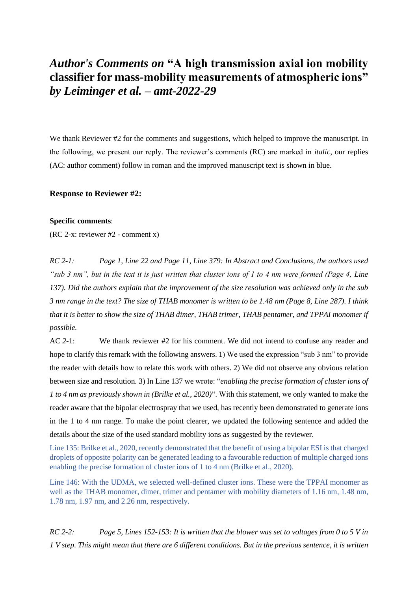## *Author's Comments on* **"A high transmission axial ion mobility classifier for mass-mobility measurements of atmospheric ions"**  *by Leiminger et al. – amt-2022-29*

We thank Reviewer #2 for the comments and suggestions, which helped to improve the manuscript. In the following, we present our reply. The reviewer's comments (RC) are marked in *italic*, our replies (AC: author comment) follow in roman and the improved manuscript text is shown in blue.

## **Response to Reviewer #2:**

## **Specific comments**:

(RC 2-x: reviewer #2 - comment x)

*RC 2-1: Page 1, Line 22 and Page 11, Line 379: In Abstract and Conclusions, the authors used "sub 3 nm", but in the text it is just written that cluster ions of 1 to 4 nm were formed (Page 4, Line 137). Did the authors explain that the improvement of the size resolution was achieved only in the sub 3 nm range in the text? The size of THAB monomer is written to be 1.48 nm (Page 8, Line 287). I think that it is better to show the size of THAB dimer, THAB trimer, THAB pentamer, and TPPAI monomer if possible.*

AC *2-*1: We thank reviewer #2 for his comment. We did not intend to confuse any reader and hope to clarify this remark with the following answers. 1) We used the expression "sub 3 nm" to provide the reader with details how to relate this work with others. 2) We did not observe any obvious relation between size and resolution. 3) In Line 137 we wrote: "*enabling the precise formation of cluster ions of 1 to 4 nm as previously shown in (Brilke et al., 2020)*". With this statement, we only wanted to make the reader aware that the bipolar electrospray that we used, has recently been demonstrated to generate ions in the 1 to 4 nm range. To make the point clearer, we updated the following sentence and added the details about the size of the used standard mobility ions as suggested by the reviewer.

Line 135: Brilke et al., 2020, recently demonstrated that the benefit of using a bipolar ESI is that charged droplets of opposite polarity can be generated leading to a favourable reduction of multiple charged ions enabling the precise formation of cluster ions of 1 to 4 nm (Brilke et al., 2020).

Line 146: With the UDMA, we selected well-defined cluster ions. These were the TPPAI monomer as well as the THAB monomer, dimer, trimer and pentamer with mobility diameters of 1.16 nm, 1.48 nm, 1.78 nm, 1.97 nm, and 2.26 nm, respectively.

*RC 2-2: Page 5, Lines 152-153: It is written that the blower was set to voltages from 0 to 5 V in 1 V step. This might mean that there are 6 different conditions. But in the previous sentence, it is written*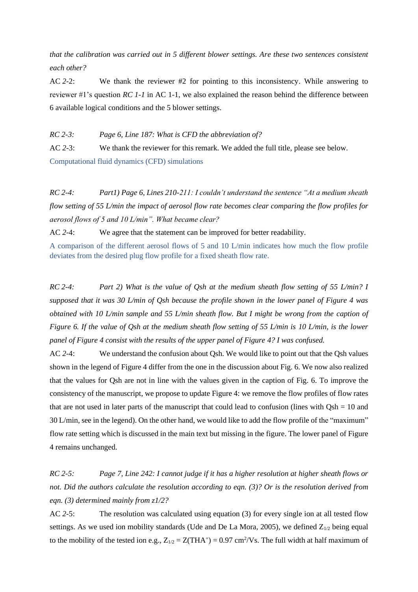*that the calibration was carried out in 5 different blower settings. Are these two sentences consistent each other?*

AC *2-*2: We thank the reviewer #2 for pointing to this inconsistency. While answering to reviewer #1's question *RC 1-1* in AC 1-1, we also explained the reason behind the difference between 6 available logical conditions and the 5 blower settings.

*RC 2-3: Page 6, Line 187: What is CFD the abbreviation of?*

AC 2-3: We thank the reviewer for this remark. We added the full title, please see below. Computational fluid dynamics (CFD) simulations

*RC 2-4: Part1) Page 6, Lines 210-211: I couldn't understand the sentence "At a medium sheath flow setting of 55 L/min the impact of aerosol flow rate becomes clear comparing the flow profiles for aerosol flows of 5 and 10 L/min". What became clear?*

AC *2-*4: We agree that the statement can be improved for better readability.

A comparison of the different aerosol flows of 5 and 10 L/min indicates how much the flow profile deviates from the desired plug flow profile for a fixed sheath flow rate.

*RC 2-4: Part 2) What is the value of Qsh at the medium sheath flow setting of 55 L/min? I supposed that it was 30 L/min of Qsh because the profile shown in the lower panel of Figure 4 was obtained with 10 L/min sample and 55 L/min sheath flow. But I might be wrong from the caption of Figure 6. If the value of Qsh at the medium sheath flow setting of 55 L/min is 10 L/min, is the lower panel of Figure 4 consist with the results of the upper panel of Figure 4? I was confused.*

AC *2-*4: We understand the confusion about Qsh. We would like to point out that the Qsh values shown in the legend of Figure 4 differ from the one in the discussion about Fig. 6. We now also realized that the values for Qsh are not in line with the values given in the caption of Fig. 6. To improve the consistency of the manuscript, we propose to update Figure 4: we remove the flow profiles of flow rates that are not used in later parts of the manuscript that could lead to confusion (lines with Qsh = 10 and 30 L/min, see in the legend). On the other hand, we would like to add the flow profile of the "maximum" flow rate setting which is discussed in the main text but missing in the figure. The lower panel of Figure 4 remains unchanged.

*RC 2-5: Page 7, Line 242: I cannot judge if it has a higher resolution at higher sheath flows or not. Did the authors calculate the resolution according to eqn. (3)? Or is the resolution derived from eqn. (3) determined mainly from z1/2?*

AC *2-*5: The resolution was calculated using equation (3) for every single ion at all tested flow settings. As we used ion mobility standards (Ude and De La Mora, 2005), we defined  $Z_{1/2}$  being equal to the mobility of the tested ion e.g.,  $Z_{1/2} = Z(THA^+) = 0.97$  cm<sup>2</sup>/Vs. The full width at half maximum of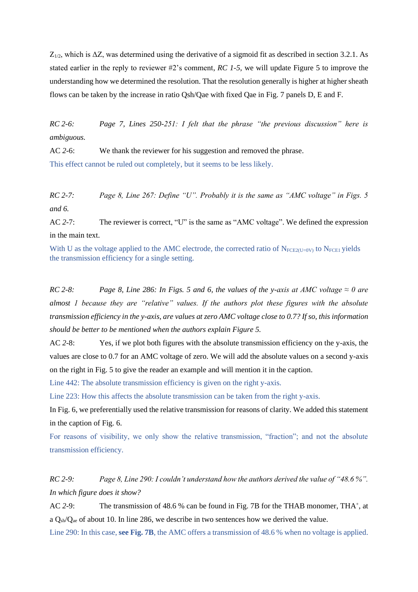$Z_{1/2}$ , which is  $\Delta Z$ , was determined using the derivative of a sigmoid fit as described in section 3.2.1. As stated earlier in the reply to reviewer #2's comment, *RC 1-5*, we will update Figure 5 to improve the understanding how we determined the resolution. That the resolution generally is higher at higher sheath flows can be taken by the increase in ratio Qsh/Qae with fixed Qae in Fig. 7 panels D, E and F.

*RC 2-6: Page 7, Lines 250-251: I felt that the phrase "the previous discussion" here is ambiguous.*

AC 2-6: We thank the reviewer for his suggestion and removed the phrase. This effect cannot be ruled out completely, but it seems to be less likely.

*RC 2-7: Page 8, Line 267: Define "U". Probably it is the same as "AMC voltage" in Figs. 5 and 6.*

AC *2-*7: The reviewer is correct, "U" is the same as "AMC voltage". We defined the expression in the main text.

With U as the voltage applied to the AMC electrode, the corrected ratio of  $N_{FCE2(U=0V)}$  to  $N_{FCE1}$  yields the transmission efficiency for a single setting.

*RC* 2-8: *Page 8, Line 286: In Figs. 5 and 6, the values of the y-axis at AMC voltage*  $\approx 0$  are *almost 1 because they are "relative" values. If the authors plot these figures with the absolute transmission efficiency in the y-axis, are values at zero AMC voltage close to 0.7? If so, this information should be better to be mentioned when the authors explain Figure 5.*

AC *2-*8: Yes, if we plot both figures with the absolute transmission efficiency on the y-axis, the values are close to 0.7 for an AMC voltage of zero. We will add the absolute values on a second y-axis on the right in Fig. 5 to give the reader an example and will mention it in the caption.

Line 442: The absolute transmission efficiency is given on the right y-axis.

Line 223: How this affects the absolute transmission can be taken from the right y-axis.

In Fig. 6, we preferentially used the relative transmission for reasons of clarity. We added this statement in the caption of Fig. 6.

For reasons of visibility, we only show the relative transmission, "fraction"; and not the absolute transmission efficiency.

*RC 2-9: Page 8, Line 290: I couldn't understand how the authors derived the value of "48.6 %". In which figure does it show?*

AC 2-9: The transmission of 48.6 % can be found in Fig. 7B for the THAB monomer, THA<sup>+</sup>, at a  $O_{\rm sh}/O_{\rm ae}$  of about 10. In line 286, we describe in two sentences how we derived the value.

Line 290: In this case, **see Fig. 7B**, the AMC offers a transmission of 48.6 % when no voltage is applied.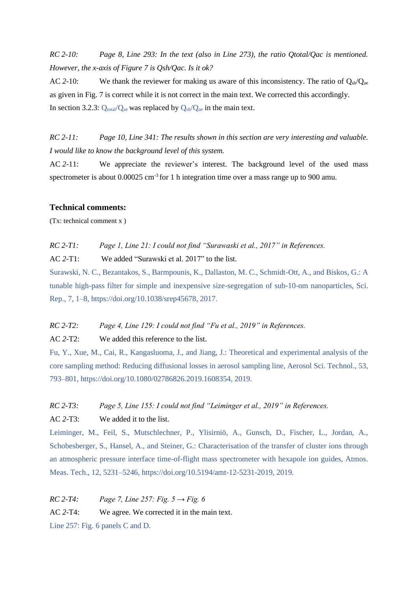*RC 2-10: Page 8, Line 293: In the text (also in Line 273), the ratio Qtotal/Qac is mentioned. However, the x-axis of Figure 7 is Qsh/Qac. Is it ok?*

AC 2-10: We thank the reviewer for making us aware of this inconsistency. The ratio of  $O_{sh}/O_{ae}$ as given in Fig. 7 is correct while it is not correct in the main text. We corrected this accordingly. In section 3.2.3:  $Q_{total}/Q_{ae}$  was replaced by  $Q_{sh}/Q_{ae}$  in the main text.

*RC 2-11: Page 10, Line 341: The results shown in this section are very interesting and valuable. I would like to know the background level of this system.*

AC *2-*11: We appreciate the reviewer's interest. The background level of the used mass spectrometer is about  $0.00025$  cm<sup>-3</sup> for 1 h integration time over a mass range up to 900 amu.

## **Technical comments:**

(Tx: technical comment x )

*RC 2-T1: Page 1, Line 21: I could not find "Surawaski et al., 2017" in References.*

AC *2-*T1: We added "Surawski et al. 2017" to the list.

Surawski, N. C., Bezantakos, S., Barmpounis, K., Dallaston, M. C., Schmidt-Ott, A., and Biskos, G.: A tunable high-pass filter for simple and inexpensive size-segregation of sub-10-nm nanoparticles, Sci. Rep., 7, 1–8, https://doi.org/10.1038/srep45678, 2017.

*RC 2-T2: Page 4, Line 129: I could not find "Fu et al., 2019" in References.*

AC *2-*T2: We added this reference to the list.

Fu, Y., Xue, M., Cai, R., Kangasluoma, J., and Jiang, J.: Theoretical and experimental analysis of the core sampling method: Reducing diffusional losses in aerosol sampling line, Aerosol Sci. Technol., 53, 793–801, https://doi.org/10.1080/02786826.2019.1608354, 2019.

*RC 2-T3: Page 5, Line 155: I could not find "Leiminger et al., 2019" in References.*

AC *2-*T3: We added it to the list.

Leiminger, M., Feil, S., Mutschlechner, P., Ylisirniö, A., Gunsch, D., Fischer, L., Jordan, A., Schobesberger, S., Hansel, A., and Steiner, G.: Characterisation of the transfer of cluster ions through an atmospheric pressure interface time-of-flight mass spectrometer with hexapole ion guides, Atmos. Meas. Tech., 12, 5231–5246, https://doi.org/10.5194/amt-12-5231-2019, 2019.

*RC* 2-T4: *Page 7, Line 257: Fig. 5*  $\rightarrow$  *Fig. 6* AC *2-*T4: We agree. We corrected it in the main text. Line 257: Fig. 6 panels C and D.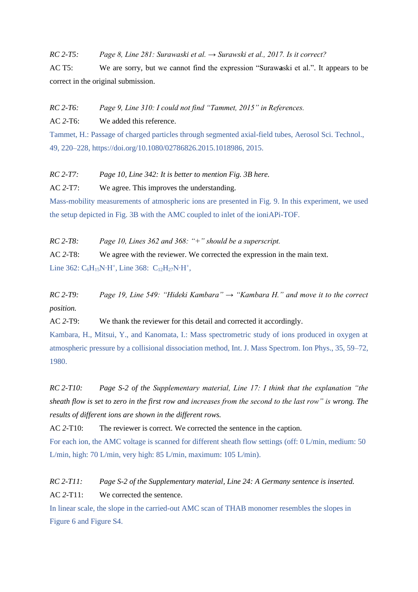*RC 2-T5: Page 8, Line 281: Surawaski et al. → Surawski et al., 2017. Is it correct?*

AC T5: We are sorry, but we cannot find the expression "Suraw**a**ski et al.". It appears to be correct in the original submission.

*RC 2-T6: Page 9, Line 310: I could not find "Tammet, 2015" in References.*

AC *2-*T6: We added this reference.

Tammet, H.: Passage of charged particles through segmented axial-field tubes, Aerosol Sci. Technol., 49, 220–228, https://doi.org/10.1080/02786826.2015.1018986, 2015.

*RC 2-T7: Page 10, Line 342: It is better to mention Fig. 3B here.*

AC *2-*T7: We agree. This improves the understanding.

Mass-mobility measurements of atmospheric ions are presented in Fig. 9. In this experiment, we used the setup depicted in Fig. 3B with the AMC coupled to inlet of the ioniAPi-TOF.

*RC 2-T8: Page 10, Lines 362 and 368: "+" should be a superscript.*

AC *2-*T8: We agree with the reviewer. We corrected the expression in the main text.

Line 362:  $C_6H_{15}N$ <sup>+</sup>H<sup>+</sup>, Line 368:  $C_{12}H_{27}N$ <sup>+</sup>H<sup>+</sup>,

*RC 2-T9: Page 19, Line 549: "Hideki Kambara" → "Kambara H." and move it to the correct position.*

AC *2-*T9: We thank the reviewer for this detail and corrected it accordingly.

Kambara, H., Mitsui, Y., and Kanomata, I.: Mass spectrometric study of ions produced in oxygen at atmospheric pressure by a collisional dissociation method, Int. J. Mass Spectrom. Ion Phys., 35, 59–72, 1980.

*RC 2-T10: Page S-2 of the Supplementary material, Line 17: I think that the explanation "the sheath flow is set to zero in the first row and increases from the second to the last row" is wrong. The results of different ions are shown in the different rows.*

AC 2-T10: The reviewer is correct. We corrected the sentence in the caption.

For each ion, the AMC voltage is scanned for different sheath flow settings (off: 0 L/min, medium: 50 L/min, high: 70 L/min, very high: 85 L/min, maximum: 105 L/min).

*RC 2-T11: Page S-2 of the Supplementary material, Line 24: A Germany sentence is inserted.* AC *2-*T11: We corrected the sentence.

In linear scale, the slope in the carried-out AMC scan of THAB monomer resembles the slopes in Figure 6 and Figure S4.